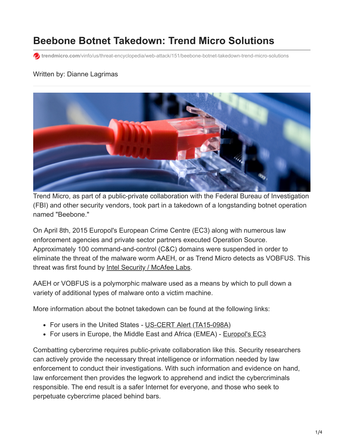# **Beebone Botnet Takedown: Trend Micro Solutions**

**to** trendmicro.com[/vinfo/us/threat-encyclopedia/web-attack/151/beebone-botnet-takedown-trend-micro-solutions](https://www.trendmicro.com/vinfo/us/threat-encyclopedia/web-attack/151/beebone-botnet-takedown-trend-micro-solutions)

### Written by: Dianne Lagrimas



Trend Micro, as part of a public-private collaboration with the Federal Bureau of Investigation (FBI) and other security vendors, took part in a takedown of a longstanding botnet operation named "Beebone."

On April 8th, 2015 Europol's European Crime Centre (EC3) along with numerous law enforcement agencies and private sector partners executed Operation Source. Approximately 100 command-and-control (C&C) domains were suspended in order to eliminate the threat of the malware worm AAEH, or as Trend Micro detects as VOBFUS. This threat was first found by [Intel Security / McAfee Labs](https://blogs.mcafee.com/mcafee-labs/takedown-stops-polymorphic-botnet).

AAEH or VOBFUS is a polymorphic malware used as a means by which to pull down a variety of additional types of malware onto a victim machine.

More information about the botnet takedown can be found at the following links:

- For users in the United States [US-CERT Alert \(TA15-098A\)](https://www.us-cert.gov/ncas/alerts/TA15-098A)
- For users in Europe, the Middle East and Africa (EMEA) [Europol's EC3](https://www.europol.europa.eu/content/international-police-operation-targets-polymorphic-beebone-botnet)

Combatting cybercrime requires public-private collaboration like this. Security researchers can actively provide the necessary threat intelligence or information needed by law enforcement to conduct their investigations. With such information and evidence on hand, law enforcement then provides the legwork to apprehend and indict the cybercriminals responsible. The end result is a safer Internet for everyone, and those who seek to perpetuate cybercrime placed behind bars.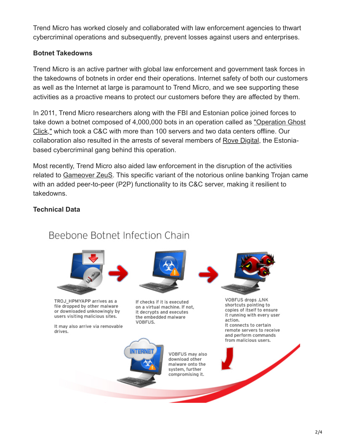Trend Micro has worked closely and collaborated with law enforcement agencies to thwart cybercriminal operations and subsequently, prevent losses against users and enterprises.

### **Botnet Takedowns**

Trend Micro is an active partner with global law enforcement and government task forces in the takedowns of botnets in order end their operations. Internet safety of both our customers as well as the Internet at large is paramount to Trend Micro, and we see supporting these activities as a proactive means to protect our customers before they are affected by them.

In 2011, Trend Micro researchers along with the FBI and Estonian police joined forces to [take down a botnet composed of 4,000,000 bots in an operation called as "Operation Ghost](http://blog.trendmicro.com/trendlabs-security-intelligence/esthost-taken-down-biggest-cybercriminal-takedown-in-history/) Click," which took a C&C with more than 100 servers and two data centers offline. Our collaboration also resulted in the arrests of several members of [Rove Digital](http://blog.trendmicro.com/trendlabs-security-intelligence/rove-digital-coder-pleads-guilty/), the Estoniabased cybercriminal gang behind this operation.

Most recently, Trend Micro also aided law enforcement in the disruption of the activities related to [Gameover ZeuS](http://blog.trendmicro.com/trendlabs-security-intelligence/gameover-zeus-with-p2p-functionality-disrupted/). This specific variant of the notorious online banking Trojan came with an added peer-to-peer (P2P) functionality to its C&C server, making it resilient to takedowns.

### **Technical Data**



## Beebone Botnet Infection Chain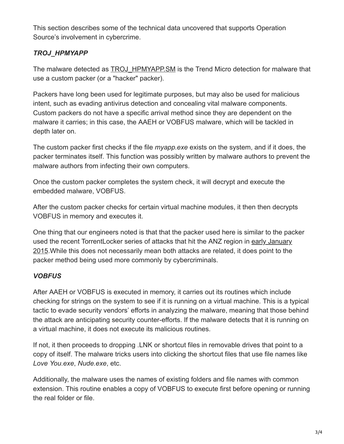This section describes some of the technical data uncovered that supports Operation Source's involvement in cybercrime.

### *TROJ\_HPMYAPP*

The malware detected as TROJ HPMYAPP.SM is the Trend Micro detection for malware that use a custom packer (or a "hacker" packer).

Packers have long been used for legitimate purposes, but may also be used for malicious intent, such as evading antivirus detection and concealing vital malware components. Custom packers do not have a specific arrival method since they are dependent on the malware it carries; in this case, the AAEH or VOBFUS malware, which will be tackled in depth later on.

The custom packer first checks if the file *myapp.exe* exists on the system, and if it does, the packer terminates itself. This function was possibly written by malware authors to prevent the malware authors from infecting their own computers.

Once the custom packer completes the system check, it will decrypt and execute the embedded malware, VOBFUS.

After the custom packer checks for certain virtual machine modules, it then then decrypts VOBFUS in memory and executes it.

One thing that our engineers noted is that that the packer used here is similar to the packer used the recent TorrentLocker series of attacks that hit the ANZ region in early January [2015.While this does not necessarily mean both attacks are related, it does point to the](http://blog.trendmicro.com/trendlabs-security-intelligence/torrentlocker-ransomware-hits-anz-region/) packer method being used more commonly by cybercriminals.

### *VOBFUS*

After AAEH or VOBFUS is executed in memory, it carries out its routines which include checking for strings on the system to see if it is running on a virtual machine. This is a typical tactic to evade security vendors' efforts in analyzing the malware, meaning that those behind the attack are anticipating security counter-efforts. If the malware detects that it is running on a virtual machine, it does not execute its malicious routines.

If not, it then proceeds to dropping .LNK or shortcut files in removable drives that point to a copy of itself. The malware tricks users into clicking the shortcut files that use file names like *Love You.exe*, *Nude.exe*, etc.

Additionally, the malware uses the names of existing folders and file names with common extension. This routine enables a copy of VOBFUS to execute first before opening or running the real folder or file.